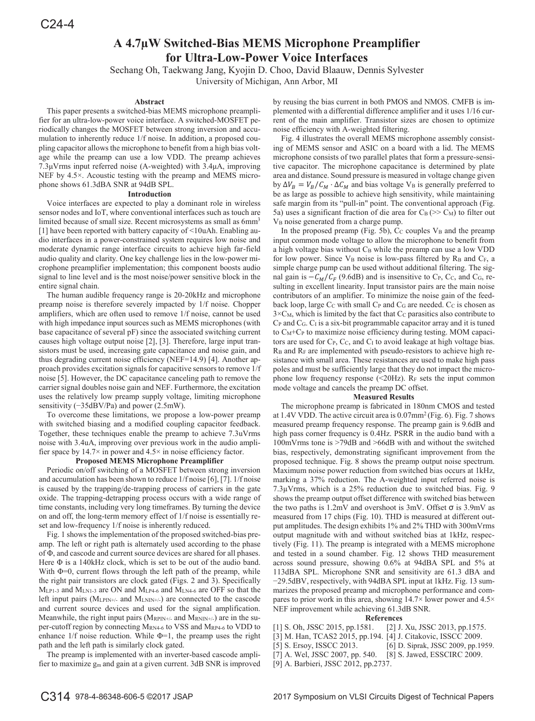# **A 4.7μW Switched-Bias MEMS Microphone Preamplifier for Ultra-Low-Power Voice Interfaces**

Sechang Oh, Taekwang Jang, Kyojin D. Choo, David Blaauw, Dennis Sylvester

University of Michigan, Ann Arbor, MI

# **Abstract**

This paper presents a switched-bias MEMS microphone preamplifier for an ultra-low-power voice interface. A switched-MOSFET periodically changes the MOSFET between strong inversion and accumulation to inherently reduce 1/f noise. In addition, a proposed coupling capacitor allows the microphone to benefit from a high bias voltage while the preamp can use a low VDD. The preamp achieves  $7.3\mu$ Vrms input referred noise (A-weighted) with  $3.4\mu$ A, improving NEF by 4.5×. Acoustic testing with the preamp and MEMS microphone shows 61.3dBA SNR at 94dB SPL.

#### **Introduction**

Voice interfaces are expected to play a dominant role in wireless sensor nodes and IoT, where conventional interfaces such as touch are limited because of small size. Recent microsystems as small as 6mm<sup>3</sup> [1] have been reported with battery capacity of <10uAh. Enabling audio interfaces in a power-constrained system requires low noise and moderate dynamic range interface circuits to achieve high far-field audio quality and clarity. One key challenge lies in the low-power microphone preamplifier implementation; this component boosts audio signal to line level and is the most noise/power sensitive block in the entire signal chain.

The human audible frequency range is 20-20kHz and microphone preamp noise is therefore severely impacted by 1/f noise. Chopper amplifiers, which are often used to remove 1/f noise, cannot be used with high impedance input sources such as MEMS microphones (with base capacitance of several pF) since the associated switching current causes high voltage output noise [2], [3]. Therefore, large input transistors must be used, increasing gate capacitance and noise gain, and thus degrading current noise efficiency (NEF=14.9) [4]. Another approach provides excitation signals for capacitive sensors to remove 1/f noise [5]. However, the DC capacitance canceling path to remove the carrier signal doubles noise gain and NEF. Furthermore, the excitation uses the relatively low preamp supply voltage, limiting microphone sensitivity  $(-35dBV/Pa)$  and power (2.5mW).

To overcome these limitations, we propose a low-power preamp with switched biasing and a modified coupling capacitor feedback. Together, these techniques enable the preamp to achieve 7.3uVrms noise with 3.4uA, improving over previous work in the audio amplifier space by  $14.7\times$  in power and  $4.5\times$  in noise efficiency factor.

# **Proposed MEMS Microphone Preamplifier**

Periodic on/off switching of a MOSFET between strong inversion and accumulation has been shown to reduce 1/f noise [6], [7]. 1/f noise is caused by the trapping/de-trapping process of carriers in the gate oxide. The trapping-detrapping process occurs with a wide range of time constants, including very long timeframes. By turning the device on and off, the long-term memory effect of 1/f noise is essentially reset and low-frequency 1/f noise is inherently reduced.

Fig. 1 shows the implementation of the proposed switched-bias preamp. The left or right path is alternately used according to the phase of  $\Phi$ , and cascode and current source devices are shared for all phases. Here  $\Phi$  is a 140kHz clock, which is set to be out of the audio band. With  $\Phi=0$ , current flows through the left path of the preamp, while the right pair transistors are clock gated (Figs. 2 and 3). Specifically MLP1-3 and MLN1-3 are ON and MLP4-6 and MLN4-6 are OFF so that the left input pairs (MLPIN+/- and MLNIN+/-) are connected to the cascode and current source devices and used for the signal amplification. Meanwhile, the right input pairs ( $M_{RPIN+\ell}$  and  $M_{RNIN+\ell}$ ) are in the super-cutoff region by connecting MRN4-6 to VSS and MRP4-6 to VDD to enhance  $1/f$  noise reduction. While  $\Phi=1$ , the preamp uses the right path and the left path is similarly clock gated.

The preamp is implemented with an inverter-based cascode amplifier to maximize gm and gain at a given current. 3dB SNR is improved by reusing the bias current in both PMOS and NMOS. CMFB is implemented with a differential difference amplifier and it uses 1/16 current of the main amplifier. Transistor sizes are chosen to optimize noise efficiency with A-weighted filtering.

Fig. 4 illustrates the overall MEMS microphone assembly consisting of MEMS sensor and ASIC on a board with a lid. The MEMS microphone consists of two parallel plates that form a pressure-sensitive capacitor. The microphone capacitance is determined by plate area and distance. Sound pressure is measured in voltage change given by  $\Delta V_B = V_B / C_M \cdot \Delta C_M$  and bias voltage V<sub>B</sub> is generally preferred to be as large as possible to achieve high sensitivity, while maintaining safe margin from its "pull-in" point. The conventional approach (Fig. 5a) uses a significant fraction of die area for  $C_B \lll N$  to filter out V<sub>B</sub> noise generated from a charge pump.

In the proposed preamp (Fig. 5b),  $C<sub>C</sub>$  couples  $V<sub>B</sub>$  and the preamp input common mode voltage to allow the microphone to benefit from a high voltage bias without C<sub>B</sub> while the preamp can use a low VDD for low power. Since  $V_B$  noise is low-pass filtered by  $R_B$  and  $C_F$ , a simple charge pump can be used without additional filtering. The signal gain is  $-C_M/C_F$  (9.6dB) and is insensitive to C<sub>P</sub>, C<sub>C</sub>, and C<sub>G</sub>, resulting in excellent linearity. Input transistor pairs are the main noise contributors of an amplifier. To minimize the noise gain of the feedback loop, large  $C_C$  with small  $C_P$  and  $C_G$  are needed.  $C_C$  is chosen as  $3\times$ C<sub>M</sub>, which is limited by the fact that C<sub>C</sub> parasitics also contribute to  $C_{P}$  and  $C_{G}$ .  $C_{I}$  is a six-bit programmable capacitor array and it is tuned to C<sub>M</sub>+C<sub>P</sub> to maximize noise efficiency during testing. MOM capacitors are used for C<sub>P</sub>, C<sub>C</sub>, and C<sub>I</sub> to avoid leakage at high voltage bias. RB and RF are implemented with pseudo-resistors to achieve high resistance with small area. These resistances are used to make high pass poles and must be sufficiently large that they do not impact the microphone low frequency response  $(\leq 20\text{Hz})$ . R<sub>F</sub> sets the input common mode voltage and cancels the preamp DC offset.

### **Measured Results**

The microphone preamp is fabricated in 180nm CMOS and tested at 1.4V VDD. The active circuit area is  $0.07$ mm<sup>2</sup> (Fig. 6). Fig. 7 shows measured preamp frequency response. The preamp gain is 9.6dB and high pass corner frequency is 0.4Hz. PSRR in the audio band with a 100mVrms tone is >79dB and >66dB with and without the switched bias, respectively, demonstrating significant improvement from the proposed technique. Fig. 8 shows the preamp output noise spectrum. Maximum noise power reduction from switched bias occurs at 1kHz, marking a 37% reduction. The A-weighted input referred noise is 7.3μVrms, which is a 25% reduction due to switched bias. Fig. 9 shows the preamp output offset difference with switched bias between the two paths is  $1.2$ mV and overshoot is 3mV. Offset  $\sigma$  is 3.9mV as measured from 17 chips (Fig. 10). THD is measured at different output amplitudes. The design exhibits 1% and 2% THD with 300mVrms output magnitude with and without switched bias at 1kHz, respectively (Fig. 11). The preamp is integrated with a MEMS microphone and tested in a sound chamber. Fig. 12 shows THD measurement across sound pressure, showing 0.6% at 94dBA SPL and 5% at 113dBA SPL. Microphone SNR and sensitivity are 61.3 dBA and -29.5dBV, respectively, with 94dBA SPL input at 1kHz. Fig. 13 summarizes the proposed preamp and microphone performance and compares to prior work in this area, showing 14.7× lower power and 4.5× NEF improvement while achieving 61.3dB SNR.

## **References**

- [1] S. Oh, JSSC 2015, pp.1581. [2] J. Xu, JSSC 2013, pp.1575.
- [3] M. Han, TCAS2 2015, pp.194. [4] J. Citakovic, ISSCC 2009.
- [5] S. Ersoy, ISSCC 2013. [6] D. Siprak, JSSC 2009, pp.1959.
- [7] A. Wel, JSSC 2007, pp. 540. [8] S. Jawed, ESSCIRC 2009.
- [9] A. Barbieri, JSSC 2012, pp.2737.